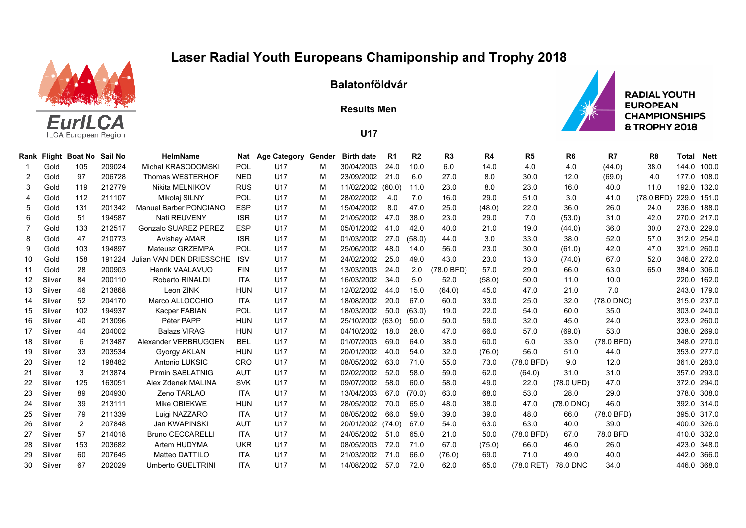## **Laser Radial Youth Europeans Chamiponship and Trophy 2018**



**Balatonföldvár**

**Results Men**



**U17**

|    |        | Rank Flight Boat No | Sail No | <b>HelmName</b>             | Nat        | <b>Age Category Gender</b> |   | <b>Birth date</b> | R1   | R <sub>2</sub> | R3         | R4     | R5           | R6         | R7         | R <sub>8</sub> | Total       | Nett  |
|----|--------|---------------------|---------|-----------------------------|------------|----------------------------|---|-------------------|------|----------------|------------|--------|--------------|------------|------------|----------------|-------------|-------|
|    | Gold   | 105                 | 209024  | Michal KRASODOMSKI          | <b>POL</b> | U17                        | м | 30/04/2003        | 24.0 | 10.0           | 6.0        | 14.0   | 4.0          | 4.0        | (44.0)     | 38.0           | 144.0       | 100.0 |
| 2  | Gold   | 97                  | 206728  | <b>Thomas WESTERHOF</b>     | <b>NED</b> | U17                        | M | 23/09/2002        | 21.0 | 6.0            | 27.0       | 8.0    | 30.0         | 12.0       | (69.0)     | 4.0            | 177.0 108.0 |       |
| 3  | Gold   | 119                 | 212779  | Nikita MELNIKOV             | <b>RUS</b> | U17                        | м | 11/02/2002 (60.0) |      | 11.0           | 23.0       | 8.0    | 23.0         | 16.0       | 40.0       | 11.0           | 192.0 132.0 |       |
| 4  | Gold   | 112                 | 211107  | Mikolaj SILNY               | POL        | U17                        | м | 28/02/2002        | 4.0  | 7.0            | 16.0       | 29.0   | 51.0         | 3.0        | 41.0       | (78.0 BFD)     | 229.0 151.0 |       |
| 5  | Gold   | 131                 | 201342  | Manuel Barber PONCIANO      | <b>ESP</b> | U17                        | м | 15/04/2002        | 8.0  | 47.0           | 25.0       | (48.0) | 22.0         | 36.0       | 26.0       | 24.0           | 236.0 188.0 |       |
| 6  | Gold   | 51                  | 194587  | Nati REUVENY                | <b>ISR</b> | U17                        | M | 21/05/2002        | 47.0 | 38.0           | 23.0       | 29.0   | 7.0          | (53.0)     | 31.0       | 42.0           | 270.0 217.0 |       |
|    | Gold   | 133                 | 212517  | <b>Gonzalo SUAREZ PEREZ</b> | <b>ESP</b> | U17                        | м | 05/01/2002        | 41.0 | 42.0           | 40.0       | 21.0   | 19.0         | (44.0)     | 36.0       | 30.0           | 273.0 229.0 |       |
| 8  | Gold   | 47                  | 210773  | Avishay AMAR                | <b>ISR</b> | U17                        | м | 01/03/2002        | 27.0 | (58.0)         | 44.0       | 3.0    | 33.0         | 38.0       | 52.0       | 57.0           | 312.0 254.0 |       |
| 9  | Gold   | 103                 | 194897  | Mateusz GRZEMPA             | <b>POL</b> | U17                        | м | 25/06/2002        | 48.0 | 14.0           | 56.0       | 23.0   | 30.0         | (61.0)     | 42.0       | 47.0           | 321.0 260.0 |       |
| 10 | Gold   | 158                 | 191224  | Julian VAN DEN DRIESSCHE    | <b>ISV</b> | U17                        | м | 24/02/2002        | 25.0 | 49.0           | 43.0       | 23.0   | 13.0         | (74.0)     | 67.0       | 52.0           | 346.0 272.0 |       |
| 11 | Gold   | 28                  | 200903  | Henrik VAALAVUO             | <b>FIN</b> | U17                        | M | 13/03/2003        | 24.0 | 2.0            | (78.0 BFD) | 57.0   | 29.0         | 66.0       | 63.0       | 65.0           | 384.0 306.0 |       |
| 12 | Silver | 84                  | 200110  | Roberto RINALDI             | <b>ITA</b> | U <sub>17</sub>            | м | 16/03/2002        | 34.0 | 5.0            | 52.0       | (58.0) | 50.0         | 11.0       | 10.0       |                | 220.0 162.0 |       |
| 13 | Silver | 46                  | 213868  | Leon ZINK                   | <b>HUN</b> | U17                        | м | 12/02/2002        | 44.0 | 15.0           | (64.0)     | 45.0   | 47.0         | 21.0       | 7.0        |                | 243.0 179.0 |       |
| 14 | Silver | 52                  | 204170  | Marco ALLOCCHIO             | <b>ITA</b> | U17                        | м | 18/08/2002        | 20.0 | 67.0           | 60.0       | 33.0   | 25.0         | 32.0       | (78.0 DNC) |                | 315.0 237.0 |       |
| 15 | Silver | 102                 | 194937  | <b>Kacper FABIAN</b>        | POL        | U17                        | м | 18/03/2002        | 50.0 | (63.0)         | 19.0       | 22.0   | 54.0         | 60.0       | 35.0       |                | 303.0 240.0 |       |
| 16 | Silver | 40                  | 213096  | Péter PAPP                  | <b>HUN</b> | U17                        | м | 25/10/2002 (63.0) |      | 50.0           | 50.0       | 59.0   | 32.0         | 45.0       | 24.0       |                | 323.0 260.0 |       |
| 17 | Silver | 44                  | 204002  | <b>Balazs VIRAG</b>         | <b>HUN</b> | U17                        | M | 04/10/2002        | 18.0 | 28.0           | 47.0       | 66.0   | 57.0         | (69.0)     | 53.0       |                | 338.0 269.0 |       |
| 18 | Silver | 6                   | 213487  | Alexander VERBRUGGEN        | <b>BEL</b> | U17                        | м | 01/07/2003        | 69.0 | 64.0           | 38.0       | 60.0   | 6.0          | 33.0       | (78.0 BFD) |                | 348.0 270.0 |       |
| 19 | Silver | 33                  | 203534  | Gyorgy AKLAN                | <b>HUN</b> | U17                        | M | 20/01/2002        | 40.0 | 54.0           | 32.0       | (76.0) | 56.0         | 51.0       | 44.0       |                | 353.0 277.0 |       |
| 20 | Silver | 12                  | 198482  | Antonio LUKSIC              | CRO        | U17                        | м | 08/05/2002        | 63.0 | 71.0           | 55.0       | 73.0   | (78.0 BFD)   | 9.0        | 12.0       |                | 361.0 283.0 |       |
| 21 | Silver | 3                   | 213874  | <b>Pirmin SABLATNIG</b>     | <b>AUT</b> | U17                        | м | 02/02/2002        | 52.0 | 58.0           | 59.0       | 62.0   | (64.0)       | 31.0       | 31.0       |                | 357.0 293.0 |       |
| 22 | Silver | 125                 | 163051  | Alex Zdenek MALINA          | <b>SVK</b> | U17                        | м | 09/07/2002        | 58.0 | 60.0           | 58.0       | 49.0   | 22.0         | (78.0 UFD) | 47.0       |                | 372.0 294.0 |       |
| 23 | Silver | 89                  | 204930  | Zeno TARLAO                 | <b>ITA</b> | U17                        | м | 13/04/2003        | 67.0 | (70.0)         | 63.0       | 68.0   | 53.0         | 28.0       | 29.0       |                | 378.0 308.0 |       |
| 24 | Silver | 39                  | 213111  | Mike OBIEKWE                | <b>HUN</b> | U17                        | м | 28/05/2002        | 70.0 | 65.0           | 48.0       | 38.0   | 47.0         | (78.0 DNC) | 46.0       |                | 392.0 314.0 |       |
| 25 | Silver | 79                  | 211339  | Luigi NAZZARO               | <b>ITA</b> | U17                        | м | 08/05/2002        | 66.0 | 59.0           | 39.0       | 39.0   | 48.0         | 66.0       | (78.0 BFD) |                | 395.0 317.0 |       |
| 26 | Silver | 2                   | 207848  | Jan KWAPINSKI               | <b>AUT</b> | U17                        | м | 20/01/2002 (74.0) |      | 67.0           | 54.0       | 63.0   | 63.0         | 40.0       | 39.0       |                | 400.0 326.0 |       |
| 27 | Silver | 57                  | 214018  | <b>Bruno CECCARELLI</b>     | <b>ITA</b> | U17                        | M | 24/05/2002        | 51.0 | 65.0           | 21.0       | 50.0   | (78.0 BFD)   | 67.0       | 78.0 BFD   |                | 410.0       | 332.0 |
| 28 | Silver | 153                 | 203682  | Artem HUDYMA                | <b>UKR</b> | U17                        | м | 08/05/2003        | 72.0 | 71.0           | 67.0       | (75.0) | 66.0         | 46.0       | 26.0       |                | 423.0 348.0 |       |
| 29 | Silver | 60                  | 207645  | Matteo DATTILO              | <b>ITA</b> | U17                        | м | 21/03/2002        | 71.0 | 66.0           | (76.0)     | 69.0   | 71.0         | 49.0       | 40.0       |                | 442.0 366.0 |       |
| 30 | Silver | 67                  | 202029  | Umberto GUELTRINI           | <b>ITA</b> | U <sub>17</sub>            | м | 14/08/2002        | 57.0 | 72.0           | 62.0       | 65.0   | $(78.0$ RET) | 78.0 DNC   | 34.0       |                | 446.0 368.0 |       |